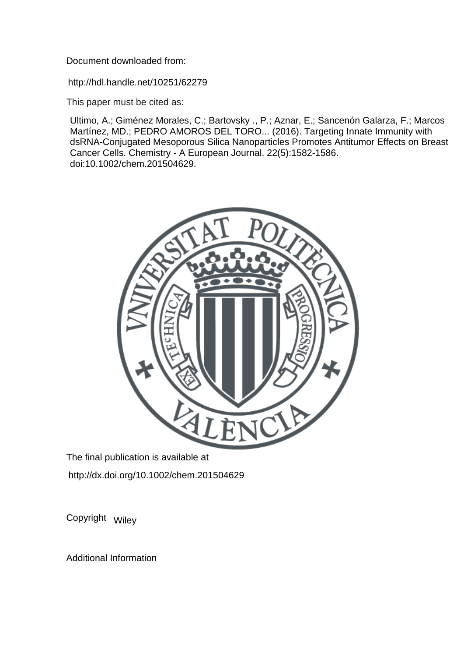Document downloaded from:

http://hdl.handle.net/10251/62279

This paper must be cited as:

Ultimo, A.; Giménez Morales, C.; Bartovsky ., P.; Aznar, E.; Sancenón Galarza, F.; Marcos Martínez, MD.; PEDRO AMOROS DEL TORO... (2016). Targeting Innate Immunity with dsRNA-Conjugated Mesoporous Silica Nanoparticles Promotes Antitumor Effects on Breast Cancer Cells. Chemistry - A European Journal. 22(5):1582-1586. doi:10.1002/chem.201504629.



The final publication is available at http://dx.doi.org/10.1002/chem.201504629

Copyright Wiley

Additional Information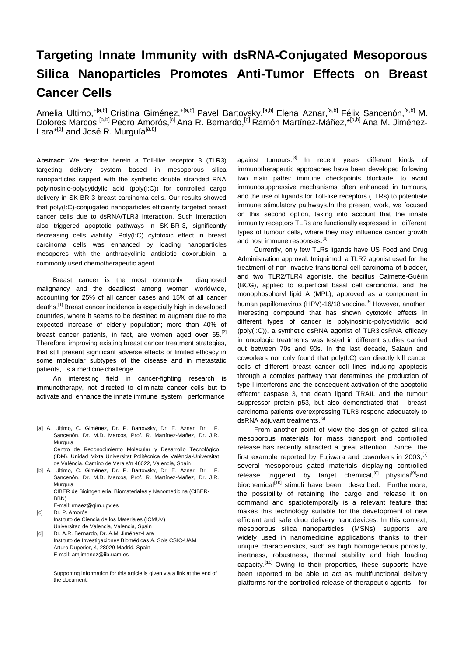## **Targeting Innate Immunity with dsRNA-Conjugated Mesoporous Silica Nanoparticles Promotes Anti-Tumor Effects on Breast Cancer Cells**

Amelia Ultimo,<sup>+[a,b]</sup> Cristina Giménez,<sup>+[a,b]</sup> Pavel Bartovsky,<sup>[a,b]</sup> Elena Aznar,<sup>[a,b]</sup> Félix Sancenón,<sup>[a,b]</sup> M. Dolores Marcos,[a,b] Pedro Amorós,[c] Ana R. Bernardo,[d] Ramón Martínez-Máñez,\*[a,b] Ana M. Jiménez-Lara $^{t[d]}$  and José R. Murguía $^{[a,b]}$ 

**Abstract:** We describe herein a Toll-like receptor 3 (TLR3) targeting delivery system based in mesoporous silica nanoparticles capped with the synthetic double stranded RNA polyinosinic-polycytidylic acid (poly(I:C)) for controlled cargo delivery in SK-BR-3 breast carcinoma cells. Our results showed that poly(I:C)-conjugated nanoparticles efficiently targeted breast cancer cells due to dsRNA/TLR3 interaction. Such interaction also triggered apoptotic pathways in SK-BR-3, significantly decreasing cells viability. Poly(I:C) cytotoxic effect in breast carcinoma cells was enhanced by loading nanoparticles mesopores with the anthracyclinic antibiotic doxorubicin, a commonly used chemotherapeutic agent.

Breast cancer is the most commonly diagnosed malignancy and the deadliest among women worldwide, accounting for 25% of all cancer cases and 15% of all cancer deaths.[1] Breast cancer incidence is especially high in developed countries, where it seems to be destined to augment due to the expected increase of elderly population; more than 40% of breast cancer patients, in fact, are women aged over 65.<sup>[2]</sup> Therefore, improving existing breast cancer treatment strategies, that still present significant adverse effects or limited efficacy in some molecular subtypes of the disease and in metastatic patients, is a medicine challenge.

An interesting field in cancer-fighting research is immunotherapy, not directed to eliminate cancer cells but to activate and enhance the innate immune system performance

[a] A. Ultimo, C. Giménez, Dr. P. Bartovsky, Dr. E. Aznar, Dr. F. Sancenón, Dr. M.D. Marcos, Prof. R. Martínez-Mañez, Dr. J.R. Murguía Centro de Reconocimiento Molecular y Desarrollo Tecnológico

(IDM). Unidad Mixta Universitat Politècnica de València-Universitat de València. Camino de Vera s/n 46022, Valencia, Spain

[b] A. Ultimo, C. Giménez, Dr. P. Bartovsky, Dr. E. Aznar, Dr. F. Sancenón, Dr. M.D. Marcos, Prof. R. Martínez-Mañez, Dr. J.R. Murguía CIBER de Bioingeniería, Biomateriales y Nanomedicina (CIBER-

BBN) E-mail: [rmaez@qim.upv.es](mailto:rmaez@qim.upv.es)

[c] Dr. P. Amorós

Instituto de Ciencia de los Materiales (ICMUV)

Universitad de Valencia, Valencia, Spain [d] Dr. A.R. Bernardo, Dr. A.M. Jiménez-Lara Instituto de Investigaciones Biomédicas A. Sols CSIC-UAM Arturo Duperier, 4, 28029 Madrid, Spain E-mail[: amjimenez@iib.uam.es](mailto:amjimenez@iib.uam.es)

> Supporting information for this article is given via a link at the end of the document.

against tumours.<sup>[3]</sup> In recent years different kinds of immunotherapeutic approaches have been developed following two main paths: immune checkpoints blockade, to avoid immunosuppressive mechanisms often enhanced in tumours, and the use of ligands for Toll-like receptors (TLRs) to potentiate immune stimulatory pathways.In the present work, we focused on this second option, taking into account that the innate immunity receptors TLRs are functionally expressed in different types of tumour cells, where they may influence cancer growth and host immune responses.<sup>[4]</sup>

Currently, only few TLRs ligands have US Food and Drug Administration approval: Imiquimod, a TLR7 agonist used for the treatment of non-invasive transitional cell carcinoma of bladder, and two TLR2/TLR4 agonists, the bacillus Calmette-Guérin (BCG), applied to superficial basal cell carcinoma, and the monophosphoryl lipid A (MPL), approved as a component in human papillomavirus (HPV)-16/18 vaccine.<sup>[5]</sup> However, another interesting compound that has shown cytotoxic effects in different types of cancer is polyinosinic-polycytidylic acid (poly(I:C)), a synthetic dsRNA agonist of TLR3.dsRNA efficacy in oncologic treatments was tested in different studies carried out between 70s and 90s. In the last decade, Salaun and coworkers not only found that poly(I:C) can directly kill cancer cells of different breast cancer cell lines inducing apoptosis through a complex pathway that determines the production of type I interferons and the consequent activation of the apoptotic effector caspase 3, the death ligand TRAIL and the tumour suppressor protein p53, but also demonstrated that breast carcinoma patients overexpressing TLR3 respond adequately to dsRNA adjuvant treatments.<sup>[6]</sup>

From another point of view the design of gated silica mesoporous materials for mass transport and controlled release has recently attracted a great attention. Since the first example reported by Fujiwara and coworkers in 2003,  $[7]$ several mesoporous gated materials displaying controlled release triggered by target chemical, $[8]$  physical $[9]$ and biochemical<sup>[10]</sup> stimuli have been described. Furthermore, the possibility of retaining the cargo and release it on command and spatiotemporally is a relevant feature that makes this technology suitable for the development of new efficient and safe drug delivery nanodevices. In this context, mesoporous silica nanoparticles (MSNs) supports are widely used in nanomedicine applications thanks to their unique characteristics, such as high homogeneous porosity, inertness, robustness, thermal stability and high loading capacity.[11] Owing to their properties, these supports have been reported to be able to act as multifunctional delivery platforms for the controlled release of therapeutic agents for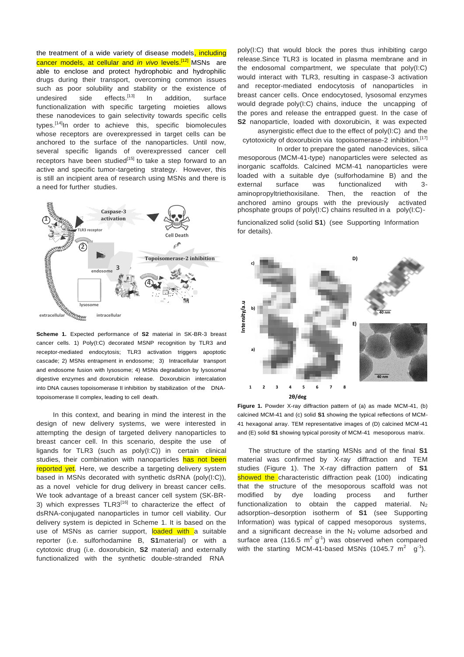the treatment of a wide variety of disease models, including cancer models, at cellular and *in vivo* levels.<sup>[12]</sup> MSNs are able to enclose and protect hydrophobic and hydrophilic drugs during their transport, overcoming common issues such as poor solubility and stability or the existence of undesired side effects.<sup>[13]</sup> In addition, surface functionalization with specific targeting moieties allows these nanodevices to gain selectivity towards specific cells types.<sup>[14]</sup>In order to achieve this, specific biomolecules whose receptors are overexpressed in target cells can be anchored to the surface of the nanoparticles. Until now, several specific ligands of overexpressed cancer cell receptors have been studied $15$  to take a step forward to an active and specific tumor-targeting strategy. However, this is still an incipient area of research using MSNs and there is a need for further studies.



**Scheme 1.** Expected performance of **S2** material in SK-BR-3 breast cancer cells. 1) Poly(I:C) decorated MSNP recognition by TLR3 and receptor-mediated endocytosis; TLR3 activation triggers apoptotic cascade; 2) MSNs entrapment in endosome; 3) Intracellular transport and endosome fusion with lysosome; 4) MSNs degradation by lysosomal digestive enzymes and doxorubicin release. Doxorubicin intercalation into DNA causes topoisomerase II inhibition by stabilization of the DNAtopoisomerase II complex, leading to cell death.

In this context, and bearing in mind the interest in the design of new delivery systems, we were interested in attempting the design of targeted delivery nanoparticles to breast cancer cell. In this scenario, despite the use of ligands for TLR3 (such as poly(I:C)) in certain clinical studies, their combination with nanoparticles has not been reported yet. Here, we describe a targeting delivery system based in MSNs decorated with synthetic dsRNA (poly(I:C)), as a novel vehicle for drug delivery in breast cancer cells. We took advantage of a breast cancer cell system (SK-BR-3) which expresses  $TLR3^{[16]}$  to characterize the effect of dsRNA-conjugated nanoparticles in tumor cell viability. Our delivery system is depicted in Scheme 1. It is based on the use of MSNs as carrier support, loaded with a suitable reporter (i.e. sulforhodamine B, **S1**material) or with a cytotoxic drug (i.e. doxorubicin, **S2** material) and externally functionalized with the synthetic double-stranded RNA

poly(I:C) that would block the pores thus inhibiting cargo release.Since TLR3 is located in plasma membrane and in the endosomal compartment, we speculate that poly(I:C) would interact with TLR3, resulting in caspase-3 activation and receptor-mediated endocytosis of nanoparticles in breast cancer cells. Once endocytosed, lysosomal enzymes would degrade poly(I:C) chains, induce the uncapping of the pores and release the entrapped guest. In the case of **S2** nanoparticle, loaded with doxorubicin, it was expected asynergistic effect due to the effect of poly(I:C) and the

cytotoxicity of doxorubicin via topoisomerase-2 inhibition.<sup>[17]</sup> In order to prepare the gated nanodevices, silica

mesoporous (MCM-41-type) nanoparticles were selected as inorganic scaffolds. Calcined MCM-41 nanoparticles were loaded with a suitable dye (sulforhodamine B) and the external surface was functionalized with 3 aminopropyltriethoxisilane. Then, the reaction of the anchored amino groups with the previously activated anchored amino groups with the previously phosphate groups of poly(I:C) chains resulted in a poly(I:C)-

funcionalized solid (solid **S1**) (see Supporting Information for details).



**Figure 1.** Powder X-ray diffraction pattern of (a) as made MCM-41, (b) calcined MCM-41 and (c) solid **S1** showing the typical reflections of MCM-41 hexagonal array. TEM representative images of (D) calcined MCM-41 and (E) solid **S1** showing typical porosity of MCM-41 mesoporous matrix.

The structure of the starting MSNs and of the final **S1**  material was confirmed by X-ray diffraction and TEM studies (Figure 1). The X-ray diffraction pattern of **S1** showed the characteristic diffraction peak (100) indicating that the structure of the mesoporous scaffold was not modified by dye loading process and further functionalization to obtain the capped material.  $N_2$ adsorption–desorption isotherm of **S1** (see Supporting Information) was typical of capped mesoporous systems, and a significant decrease in the  $N_2$  volume adsorbed and surface area (116.5  $m^2$  g<sup>-1</sup>) was observed when compared with the starting MCM-41-based MSNs (1045.7  $m^2$  g<sup>-1</sup>).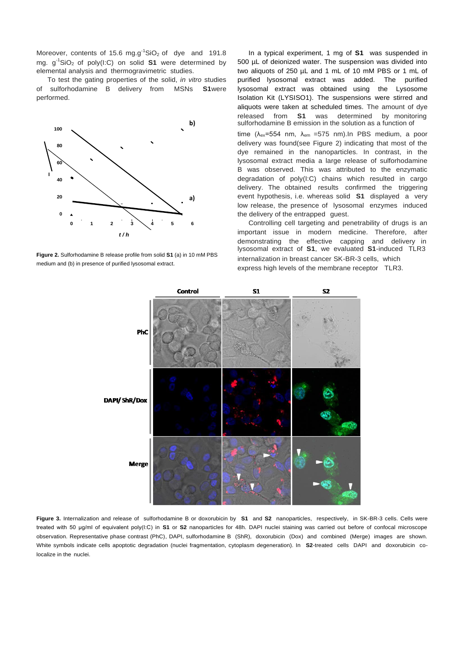Moreover, contents of 15.6 mg.g<sup>-1</sup>SiO<sub>2</sub> of dye and 191.8 mg. g-1SiO2 of poly(I:C) on solid **S1** were determined by elemental analysis and thermogravimetric studies.

To test the gating properties of the solid, *in vitro* studies of sulforhodamine B delivery from MSNs **S1**were performed.



**Figure 2.** Sulforhodamine B release profile from solid **S1** (a) in 10 mM PBS medium and (b) in presence of purified lysosomal extract.

In a typical experiment, 1 mg of **S1** was suspended in 500 µL of deionized water. The suspension was divided into two aliquots of 250 µL and 1 mL of 10 mM PBS or 1 mL of purified lysosomal extract was added. The purified lysosomal extract was obtained using the Lysosome Isolation Kit (LYSISO1). The suspensions were stirred and aliquots were taken at scheduled times. The amount of dye released from **S1** was determined by monitoring sulforhodamine B emission in the solution as a function of time ( $\lambda_{ex}$ =554 nm,  $\lambda_{em}$  =575 nm). In PBS medium, a poor delivery was found(see Figure 2) indicating that most of the dye remained in the nanoparticles. In contrast, in the lysosomal extract media a large release of sulforhodamine B was observed. This was attributed to the enzymatic degradation of poly(I:C) chains which resulted in cargo delivery. The obtained results confirmed the triggering event hypothesis, i.e. whereas solid **S1** displayed a very low release, the presence of lysosomal enzymes induced the delivery of the entrapped guest.

Controlling cell targeting and penetrability of drugs is an important issue in modern medicine. Therefore, after demonstrating the effective capping and delivery in lysosomal extract of **S1**, we evaluated **S1**-induced TLR3 internalization in breast cancer SK-BR-3 cells, which express high levels of the membrane receptor TLR3.



**Figure 3.** Internalization and release of sulforhodamine B or doxorubicin by **S1** and **S2** nanoparticles, respectively, in SK-BR-3 cells. Cells were treated with 50 μg/ml of equivalent poly(I:C) in **S1** or **S2** nanoparticles for 48h. DAPI nuclei staining was carried out before of confocal microscope observation. Representative phase contrast (PhC), DAPI, sulforhodamine B (ShR), doxorubicin (Dox) and combined (Merge) images are shown. White symbols indicate cells apoptotic degradation (nuclei fragmentation, cytoplasm degeneration). In **S2**-treated cells DAPI and doxorubicin colocalize in the nuclei.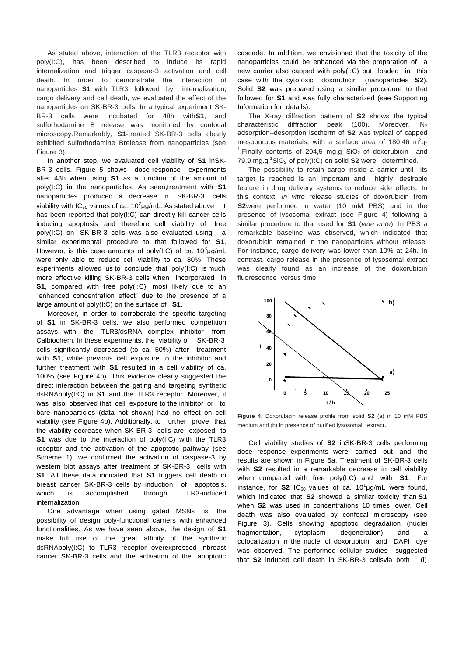As stated above, interaction of the TLR3 receptor with poly(I:C), has been described to induce its rapid internalization and trigger caspase-3 activation and cell death. In order to demonstrate the interaction of nanoparticles **S1** with TLR3, followed by internalization, cargo delivery and cell death, we evaluated the effect of the nanoparticles on SK-BR-3 cells. In a typical experiment SK-BR-3 cells were incubated for 48h with**S1**, and sulforhodamine B release was monitored by confocal microscopy.Remarkably, **S1**-treated SK-BR-3 cells clearly exhibited sulforhodamine Brelease from nanoparticles (see Figure 3).

In another step, we evaluated cell viability of **S1** inSK-BR-3 cells. Figure 5 shows dose-response experiments after 48h when using **S1** as a function of the amount of poly(I:C) in the nanoparticles. As seen,treatment with **S1**  nanoparticles produced a decrease in SK-BR-3 cells viability with IC<sub>50</sub> values of ca. 10<sup>2</sup> µg/mL. As stated above it has been reported that poly(I:C) can directly kill cancer cells inducing apoptosis and therefore cell viability of free poly(I:C) on SK-BR-3 cells was also evaluated using a similar experimental procedure to that followed for **S1**. However, is this case amounts of poly(I:C) of ca.  $10^3 \mu$ g/mL were only able to reduce cell viability to ca. 80%. These experiments allowed us to conclude that poly(I:C) is much more effective killing SK-BR-3 cells when incorporated in **S1**, compared with free poly(I:C), most likely due to an "enhanced concentration effect" due to the presence of a large amount of poly(I:C) on the surface of **S1**.

Moreover, in order to corroborate the specific targeting of **S1** in SK-BR-3 cells, we also performed competition assays with the TLR3/dsRNA complex inhibitor from Calbiochem. In these experiments, the viability of SK-BR-3 cells significantly decreased (to ca. 50%) after treatment with **S1**, while previous cell exposure to the inhibitor and further treatment with **S1** resulted in a cell viability of ca. 100% (see Figure 4b). This evidence clearly suggested the direct interaction between the gating and targeting synthetic dsRNApoly(I:C) in **S1** and the TLR3 receptor. Moreover, it was also observed that cell exposure to the inhibitor or to bare nanoparticles (data not shown) had no effect on cell viability (see Figure 4b). Additionally, to further prove that the viability decrease when SK-BR-3 cells are exposed to **S1** was due to the interaction of poly(I:C) with the TLR3 receptor and the activation of the apoptotic pathway (see Scheme 1), we confirmed the activation of caspase-3 by western blot assays after treatment of SK-BR-3 cells with **S1**. All these data indicated that **S1** triggers cell death in breast cancer SK-BR-3 cells by induction of apoptosis, which is accomplished through TLR3-induced internalization.

One advantage when using gated MSNs is the possibility of design poly-functional carriers with enhanced functionalities. As we have seen above, the design of **S1**  make full use of the great affinity of the synthetic dsRNApoly(I:C) to TLR3 receptor overexpressed inbreast cancer SK-BR-3 cells and the activation of the apoptotic

cascade. In addition, we envisioned that the toxicity of the nanoparticles could be enhanced via the preparation of a new carrier also capped with poly(I:C) but loaded in this case with the cytotoxic doxorubicin (nanoparticles **S2**). Solid **S2** was prepared using a similar procedure to that followed for **S1** and was fully characterized (see Supporting Information for details).

The X-ray diffraction pattern of **S2** shows the typical characteristic diffraction peak (100). Moreover,  $N_2$ adsorption–desorption isotherm of **S2** was typical of capped mesoporous materials, with a surface area of 180,46  $m^2$ g-<sup>1</sup>. Finally contents of 204,5 mg.g<sup>-1</sup>SiO<sub>2</sub> of doxorubicin and 79,9 mg.g-1SiO2 of poly(I:C) on solid **S2** were determined.

The possibility to retain cargo inside a carrier until its target is reached is an important and highly desirable feature in drug delivery systems to reduce side effects. In this context, *in vitro* release studies of doxorubicin from **S2**were performed in water (10 mM PBS) and in the presence of lysosomal extract (see Figure 4) following a similar procedure to that used for **S1** (*vide ante*). In PBS a remarkable baseline was observed, which indicated that doxorubicin remained in the nanoparticles without release. For instance, cargo delivery was lower than 10% at 24h. In contrast, cargo release in the presence of lysosomal extract was clearly found as an increase of the doxorubicin fluorescence versus time.



**Figure 4**. Doxorubicin release profile from solid **S2** (a) in 10 mM PBS medium and (b) in presence of purified lysosomal extract.

Cell viability studies of **S2** inSK-BR-3 cells performing dose response experiments were carried out and the results are shown in Figure 5a. Treatment of SK-BR-3 cells with **S2** resulted in a remarkable decrease in cell viability when compared with free poly(I:C) and with **S1**. For instance, for **S2** IC<sub>50</sub> values of ca.  $10^1 \mu$ g/mL were found, which indicated that **S2** showed a similar toxicity than **S1** when **S2** was used in concentrations 10 times lower. Cell death was also evaluated by confocal microscopy (see Figure 3). Cells showing apoptotic degradation (nuclei fragmentation, cytoplasm degeneration) and a colocalization in the nuclei of doxorubicin and DAPI dye was observed. The performed cellular studies suggested that **S2** induced cell death in SK-BR-3 cellsvia both (i)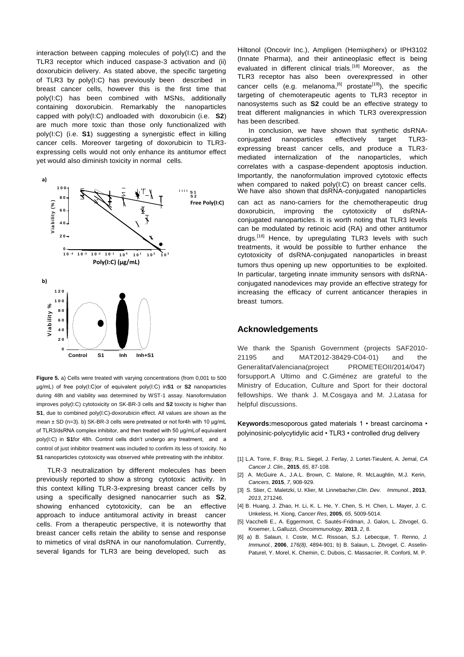interaction between capping molecules of poly(I:C) and the TLR3 receptor which induced caspase-3 activation and (ii) doxorubicin delivery. As stated above, the specific targeting of TLR3 by poly(I:C) has previously been described in breast cancer cells, however this is the first time that poly(I:C) has been combined with MSNs, additionally containing doxorubicin. Remarkably the nanoparticles capped with poly(I:C) andloaded with doxorubicin (i.e. **S2**) are much more toxic than those only functionalized with poly(I:C) (i.e. **S1**) suggesting a synergistic effect in killing cancer cells. Moreover targeting of doxorubicin to TLR3 expressing cells would not only enhance its antitumor effect yet would also diminish toxicity in normal cells.



**Figure 5.** a) Cells were treated with varying concentrations (from 0,001 to 500 μg/mL) of free poly(I:C)or of equivalent poly(I:C) in**S1** or **S2** nanoparticles during 48h and viability was determined by WST-1 assay. Nanoformulation improves poly(I:C) cytotoxicity on SK-BR-3 cells and **S2** toxicity is higher than **S1**, due to combined poly(I:C)-doxorubicin effect. All values are shown as the mean ± SD (n=3). b) SK-BR-3 cells were pretreated or not for4h with 10 μg/mL of TLR3/dsRNA complex inhibitor, and then treated with 50 μg/mLof equivalent poly(I:C) in **S1**for 48h. Control cells didn't undergo any treatment, and a control of just inhibitor treatment was included to confirm its less of toxicity. No **S1** nanoparticles cytotoxicity was observed while pretreating with the inhibitor.

TLR-3 neutralization by different molecules has been previously reported to show a strong cytotoxic activity. In this context killing TLR-3-expresing breast cancer cells by using a specifically designed nanocarrier such as **S2**, showing enhanced cytotoxicity, can be an effective approach to induce antitumoral activity in breast cancer cells. From a therapeutic perspective, it is noteworthy that breast cancer cells retain the ability to sense and response to mimetics of viral dsRNA in our nanofomulation. Currently, several ligands for TLR3 are being developed, such as

Hiltonol (Oncovir Inc.), Ampligen (Hemixpherx) or IPH3102 (Innate Pharma), and their antineoplasic effect is being evaluated in different clinical trials.<sup>[18]</sup> Moreover, as the TLR3 receptor has also been overexpressed in other cancer cells (e.g. melanoma,<sup>[6]</sup> prostate<sup>[19]</sup>), the specific targeting of chemoterapeutic agents to TLR3 receptor in nanosystems such as **S2** could be an effective strategy to treat different malignancies in which TLR3 overexpression has been described.

In conclusion, we have shown that synthetic dsRNAconjugated nanoparticles effectively target TLR3 expressing breast cancer cells, and produce a TLR3 mediated internalization of the nanoparticles, which correlates with a caspase-dependent apoptosis induction. Importantly, the nanoformulation improved cytotoxic effects when compared to naked poly(I:C) on breast cancer cells. We have also shown that dsRNA-conjugated nanoparticles can act as nano-carriers for the chemotherapeutic drug doxorubicin, improving the cytotoxicity of dsRNAconjugated nanoparticles. It is worth noting that TLR3 levels can be modulated by retinoic acid (RA) and other antitumor drugs.<sup>[16]</sup> Hence, by upregulating TLR3 levels with such treatments, it would be possible to further enhance the cytotoxicity of dsRNA-conjugated nanoparticles in breast tumors thus opening up new opportunities to be exploited. In particular, targeting innate immunity sensors with dsRNAconjugated nanodevices may provide an effective strategy for increasing the efficacy of current anticancer therapies in breast tumors.

## **Acknowledgements**

We thank the Spanish Government (projects SAF2010- 21195 and MAT2012-38429-C04-01) and the GeneralitatValenciana(project PROMETEOII/2014/047) forsupport.A Ultimo and C.Giménez are grateful to the Ministry of Education, Culture and Sport for their doctoral fellowships. We thank J. M.Cosgaya and M. J.Latasa for helpful discussions.

**Keywords:**mesoporous gated materials 1 • breast carcinoma • polyinosinic-polycytidylic acid • TLR3 • controlled drug delivery

- [1] L.A. Torre, F. Bray, R.L. Siegel, J. Ferlay, J. Lortet-Tieulent, A. Jemal, *CA Cancer J. Clin.,* **2015**, *65*, 87-108.
- [2] A. McGuire A., J.A.L. Brown, C. Malone, R. McLaughlin, M.J. Kerin, *Cancers*, **2015**, *7*, 908-929.
- [3] S. Stier, C. Maletzki, U. Klier, M. Linnebacher,*Clin. Dev. Immunol.*, **2013**, *2013*, 271246.
- [4] B. Huang, J. Zhao, H. Li, K. L. He, Y. Chen, S. H. Chen, L. Mayer, J. C. Unkeless, H. Xiong, *Cancer Res*, **2005**, *65*, 5009-5014.
- [5] Vacchelli E., A. Eggermont, C. Sautés-Fridman, J. Galon, L. Zitvogel, G. Kroemer, L.Galluzzi, *Oncoimmunology,* **2013**, *2*, 8.
- [6] a) B. Salaun, I. Coste, M.C. Rissoan, S.J. Lebecque, T. Renno, *J. Immunol.*, **2006**, *176(8)*, 4894-901; b) B. Salaun, L. Zitvogel, C. Asselin-Paturel, Y. Morel, K. Chemin, C. Dubois, C. Massacrier, R. Conforti, M. P.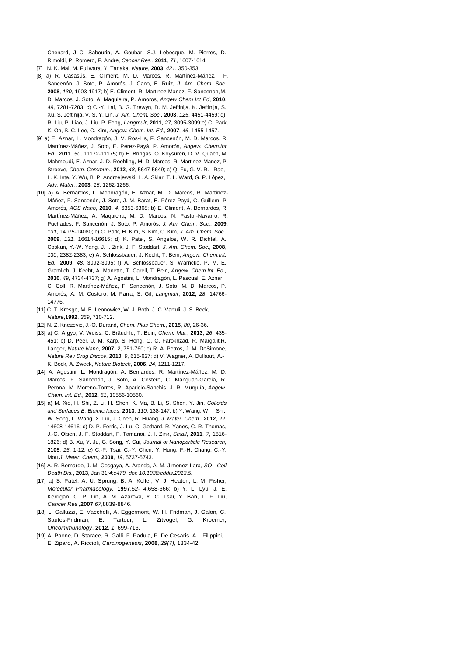Chenard, J.-C. Sabourin, A. Goubar, S.J. Lebecque, M. Pierres, D. Rimoldi, P. Romero, F. Andre, *Cancer Res.*, **2011**, *71*, 1607-1614.

- [7] N. K. Mal, M. Fujiwara, Y. Tanaka, *Nature*, **2003**, *421*, 350-353.
- [8] a) R. Casasús, E. Climent, M. D. Marcos, R. Martínez-Máñez, F. Sancenón, J. Soto, P. Amorós, J. Cano, E. Ruiz, *J. Am. Chem. Soc.,*  **2008**, *130*, 1903-1917; b) E. Climent, R. Martinez-Manez, F. Sancenon,M. D. Marcos, J. Soto, A. Maquieira, P. Amoros, *Angew Chem Int Ed*, **2010**, *49*, 7281-7283; c) C.-Y. Lai, B. G. Trewyn, D. M. Jeftinija, K. Jeftinija, S. Xu, S. Jeftinija, V. S. Y. Lin, *J. Am. Chem. Soc.,* **2003**, *125*, 4451-4459; d) R. Liu, P. Liao, J. Liu, P. Feng, *Langmuir*, **2011**, *27*, 3095-3099;e) C. Park, K. Oh, S. C. Lee, C. Kim, *Angew. Chem. Int. Ed.,* **2007**, *46*, 1455-1457.
- [9] a) E. Aznar, L. Mondragón, J. V. Ros-Lis, F. Sancenón, M. D. Marcos, R. Martínez-Máñez, J. Soto, E. Pérez-Payá, P. Amorós, *Angew. Chem.Int. Ed.,* **2011**, *50*, 11172-11175; b) E. Bringas, O. Koysuren, D. V. Quach, M. Mahmoudi, E. Aznar, J. D. Roehling, M. D. Marcos, R. Martinez-Manez, P. Stroeve, *Chem. Commun.,* **2012**, *48*, 5647-5649; c) Q. Fu, G. V. R. Rao, L. K. Ista, Y. Wu, B. P. Andrzejewski, L. A. Sklar, T. L. Ward, G. P. López, *Adv. Mater.*, **2003**, *15*, 1262-1266.
- [10] a) A. Bernardos, L. Mondragón, E. Aznar, M. D. Marcos, R. Martínez-Máñez, F. Sancenón, J. Soto, J. M. Barat, E. Pérez-Payá, C. Guillem, P. Amorós, *ACS Nano*, **2010**, *4*, 6353-6368; b) E. Climent, A. Bernardos, R. Martínez-Máñez, A. Maquieira, M. D. Marcos, N. Pastor-Navarro, R. Puchades, F. Sancenón, J. Soto, P. Amorós, *J. Am. Chem. Soc.,* **2009**, *131*, 14075-14080; c) C. Park, H. Kim, S. Kim, C. Kim, *J. Am. Chem. Soc.,* **2009**, *131*, 16614-16615; d) K. Patel, S. Angelos, W. R. Dichtel, A. Coskun, Y.-W. Yang, J. I. Zink, J. F. Stoddart, *J. Am. Chem. Soc.,* **2008**, *130*, 2382-2383; e) A. Schlossbauer, J. Kecht, T. Bein, *Angew. Chem.Int. Ed.,* **2009**, *48*, 3092-3095; f) A. Schlossbauer, S. Warncke, P. M. E. Gramlich, J. Kecht, A. Manetto, T. Carell, T. Bein, *Angew. Chem.Int. Ed.,*  **2010**, *49*, 4734-4737; g) A. Agostini, L. Mondragón, L. Pascual, E. Aznar, C. Coll, R. Martínez-Máñez, F. Sancenón, J. Soto, M. D. Marcos, P. Amorós, A. M. Costero, M. Parra, S. Gil, *Langmuir*, **2012**, *28*, 14766- 14776.
- [11] C. T. Kresge, M. E. Leonowicz, W. J. Roth, J. C. Vartuli, J. S. Beck, *Nature*,**1992**, *359*, 710-712.
- [12] N. Z. Knezevic, J.-O. Durand, *Chem. Plus Chem*., **2015**, *80*, 26-36.
- [13] a) C. Argyo, V. Weiss, C. Bräuchle, T. Bein, *Chem. Mat.*, **2013**, *26*, 435- 451; b) D. Peer, J. M. Karp, S. Hong, O. C. Farokhzad, R. Margalit,R. Langer, *Nature Nano*, **2007**, *2*, 751-760; c) R. A. Petros, J. M. DeSimone, *Nature Rev Drug Discov*, **2010**, *9*, 615-627; d) V. Wagner, A. Dullaart, A.- K. Bock, A. Zweck, *Nature Biotech*, **2006**, *24*, 1211-1217.
- [14] A. Agostini, L. Mondragón, A. Bernardos, R. Martínez-Máñez, M. D. Marcos, F. Sancenón, J. Soto, A. Costero, C. Manguan-García, R. Perona, M. Moreno-Torres, R. Aparicio-Sanchis, J. R. Murguía, *Angew. Chem. Int. Ed.,* **2012**, *51*, 10556-10560.
- [15] a) M. Xie, H. Shi, Z. Li, H. Shen, K. Ma, B. Li, S. Shen, Y. Jin, *Colloids and Surfaces B: Biointerfaces*, **2013**, *110*, 138-147; b) Y. Wang, W. Shi, W. Song, L. Wang, X. Liu, J. Chen, R. Huang, *J. Mater. Chem.,* **2012**, *22*, 14608-14616; c) D. P. Ferris, J. Lu, C. Gothard, R. Yanes, C. R. Thomas, J.-C. Olsen, J. F. Stoddart, F. Tamanoi, J. I. Zink, *Small*, **2011**, *7*, 1816- 1826; d) B. Xu, Y. Ju, G. Song, Y. Cui, *Journal of Nanoparticle Research,*  **2105**, *15*, 1-12; e) C.-P. Tsai, C.-Y. Chen, Y. Hung, F.-H. Chang, C.-Y. Mou,*J. Mater. Chem.,* **2009**, *19*, 5737-5743.
- [16] A. R. Bernardo, J. M. Cosgaya, A. Aranda, A. M. Jimenez-Lara, *SO - Cell Death Dis.*, **2013**, Jan 31*;4:e479. doi: 10.1038/cddis.2013.5.*
- [17] a) [S. Patel,](http://molpharm.aspetjournals.org/search?author1=Sandhiya%2BPatel&sortspec=date&submit=Submit) [A. U. Sprung,](http://molpharm.aspetjournals.org/search?author1=Antje%2BU.%2BSprung&sortspec=date&submit=Submit) [B. A. Keller,](http://molpharm.aspetjournals.org/search?author1=Beatrice%2BA.%2BKeller&sortspec=date&submit=Submit) [V. J. Heaton,](http://molpharm.aspetjournals.org/search?author1=Victoria%2BJ.%2BHeaton&sortspec=date&submit=Submit) [L. M. Fisher,](http://molpharm.aspetjournals.org/search?author1=L.%2BMark%2BFisher&sortspec=date&submit=Submit) *Molecular Pharmacology,* **1997**,*52- 4*,658-666; b) [Y. L. Lyu,](http://cancerres.aacrjournals.org/search?author1=Yi%2BLisa%2BLyu&sortspec=date&submit=Submit) [J. E.](http://cancerres.aacrjournals.org/search?author1=John%2BE.%2BKerrigan&sortspec=date&submit=Submit) [Kerrigan,](http://cancerres.aacrjournals.org/search?author1=John%2BE.%2BKerrigan&sortspec=date&submit=Submit) [C. P. Lin,](http://cancerres.aacrjournals.org/search?author1=Chao-Po%2BLin&sortspec=date&submit=Submit) [A. M. Azarova,](http://cancerres.aacrjournals.org/search?author1=Anna%2BM.%2BAzarova&sortspec=date&submit=Submit) [Y. C. Tsai,](http://cancerres.aacrjournals.org/search?author1=Yuan-Chin%2BTsai&sortspec=date&submit=Submit) [Y. Ban,](http://cancerres.aacrjournals.org/search?author1=Yi%2BBan&sortspec=date&submit=Submit) [L. F. Liu,](http://cancerres.aacrjournals.org/search?author1=Leroy%2BF.%2BLiu&sortspec=date&submit=Submit)  *Cancer Res ,***2007**,*67*,8839-8846.
- [18] L. Galluzzi, E. Vacchelli, A. Eggermont, W. H. Fridman, J. Galon, C. Sautes-Fridman, E. Tartour, L. Zitvogel, G. Kroemer, *Oncoimmunology*, **2012**, *1*, 699-716.
- [19] A. Paone, D. Starace, R. Galli, F. Padula, P. De Cesaris, A. Filippini, E. Ziparo, A. Riccioli, *Carcinogenesis*, **2008**, *29(7)*, 1334-42.